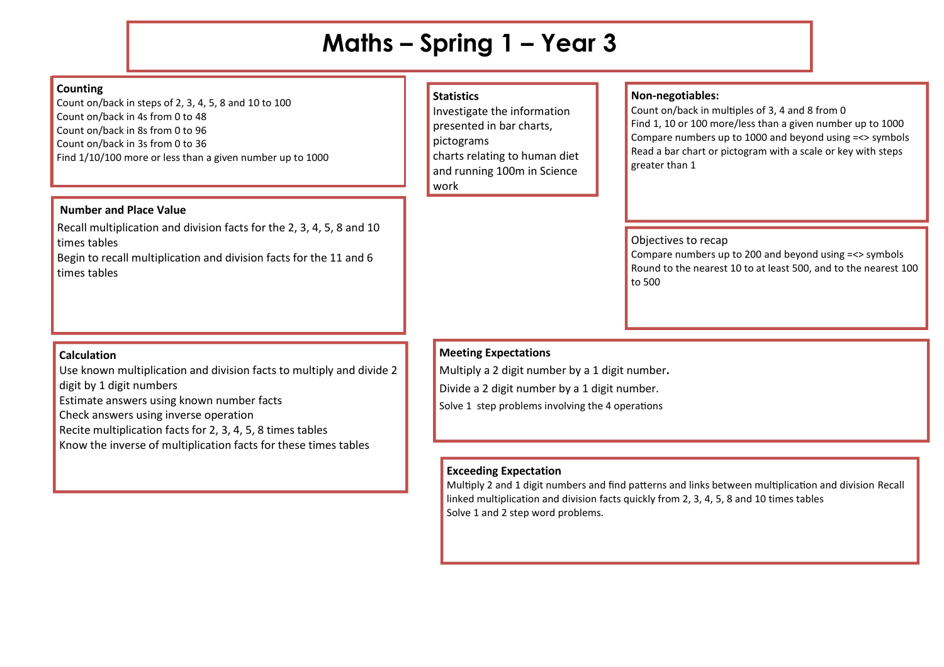# **Maths – Spring 1 – Year 3**

## **Counting**

Count on/back in steps of 2, 3, 4, 5, 8 and 10 to 100 Count on/back in 4s from 0 to 48 Count on/back in 8s from 0 to 96 Count on/back in 3s from 0 to 36 Find 1/10/100 more or less than a given number up to 1000

#### **Number and Place Value**

Recall multiplication and division facts for the 2, 3, 4, 5, 8 and 10 times tables

Begin to recall multiplication and division facts for the 11 and 6 times tables

## **Calculation**

Use known multiplication and division facts to multiply and divide 2 digit by 1 digit numbers Estimate answers using known number facts

Check answers using inverse operation

Recite multiplication facts for 2, 3, 4, 5, 8 times tables

Know the inverse of multiplication facts for these times tables

#### **Statistics**

Investigate the information presented in bar charts, pictograms charts relating to human diet and running 100m in Science work

#### **Non-negotiables:**

Count on/back in multiples of 3, 4 and 8 from 0 Find 1, 10 or 100 more/less than a given number up to 1000 Compare numbers up to 1000 and beyond using =<> symbols Read a bar chart or pictogram with a scale or key with steps greater than 1

#### Objectives to recap

Compare numbers up to 200 and beyond using =<> symbols Round to the nearest 10 to at least 500, and to the nearest 100 to 500

## **Meeting Expectations**

Multiply a 2 digit number by a 1 digit number**.** Divide a 2 digit number by a 1 digit number. Solve 1 step problems involving the 4 operations

#### **Exceeding Expectation**

Multiply 2 and 1 digit numbers and find patterns and links between multiplication and division Recall linked multiplication and division facts quickly from 2, 3, 4, 5, 8 and 10 times tables Solve 1 and 2 step word problems.